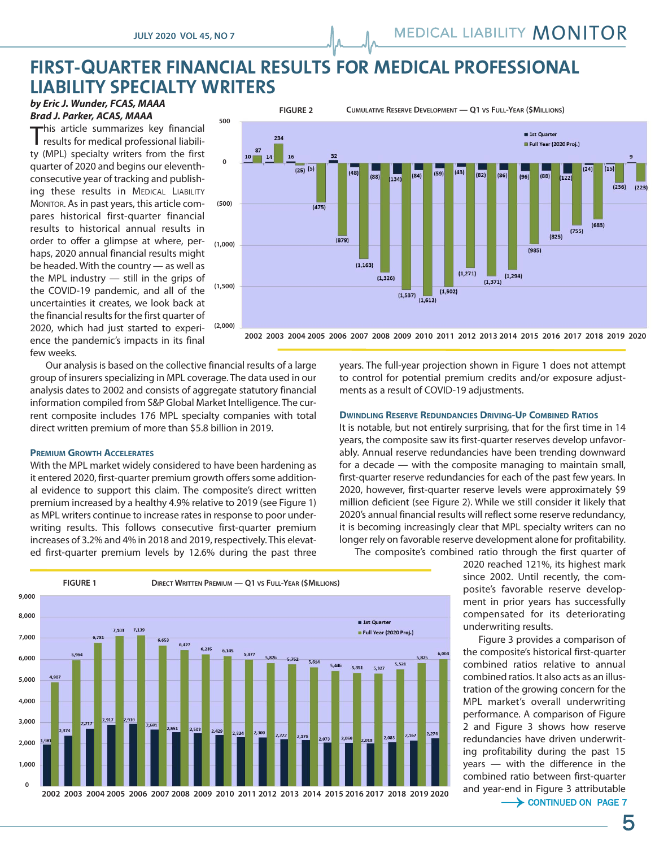## **FIRST-QUARTER FINANCIAL RESULTS FOR MEDICAL PROFESSIONAL LIABILITY SPECIALTY WRITERS**

*by Eric J. Wunder, FCAS, MAAA Brad J. Parker, ACAS, MAAA*

this article summarizes key financial results for medical professional liability (MPL) specialty writers from the first quarter of 2020 and begins our eleventhconsecutive year of tracking and publishing these results in MEDICAL LIABILITY MONITOR. As in past years, this article compares historical first-quarter financial results to historical annual results in order to offer a glimpse at where, per- <sub>(1,000)</sub> haps, 2020 annual financial results might be headed. With the country — as well as the MPL industry — still in the grips of the COVID-19 pandemic, and all of the uncertainties it creates, we look back at the financial results for the first quarter of 2020, which had just started to experience the pandemic's impacts in its final few weeks.



**2002 2003 2004 2005 2006 2007 2008 2009 2010 2011 2012 2013 2014 2015 2016 2017 2018 2019 2020**

"#\$%&'!(

Our analysis is based on the collective financial results of a large group of insurers specializing in MPL coverage. The data used in our analysis dates to 2002 and consists of aggregate statutory financial information compiled from S&P Global Market Intelligence. The current composite includes 176 MPL specialty companies with total direct written premium of more than \$5.8 billion in 2019.

### **PREMIUM GROWTH ACCELERATES**

With the MPL market widely considered to have been hardening as it entered 2020, first-quarter premium growth offers some additional evidence to support this claim. The composite's direct written premium increased by a healthy 4.9% relative to 2019 (see Figure 1) as MPL writers continue to increase rates in response to poor underwriting results. This follows consecutive first-quarter premium increases of 3.2% and 4% in 2018 and 2019, respectively. This elevated first-quarter premium levels by 12.6% during the past three years. The full-year projection shown in Figure 1 does not attempt to control for potential premium credits and/or exposure adjustments as a result of COVID-19 adjustments.

#### **DWINDLING RESERVE REDUNDANCIES DRIVING-UP COMBINED RATIOS**

It is notable, but not entirely surprising, that for the first time in 14 years, the composite saw its first-quarter reserves develop unfavorably. Annual reserve redundancies have been trending downward for a decade — with the composite managing to maintain small, first-quarter reserve redundancies for each of the past few years. In 2020, however, first-quarter reserve levels were approximately \$9 million deficient (see Figure 2). While we still consider it likely that 2020's annual financial results will reflect some reserve redundancy, it is becoming increasingly clear that MPL specialty writers can no longer rely on favorable reserve development alone for profitability.

**FIGURE 1 DIRECT WRITTEN PREMIUM — Q1 VS FULL-YEAR (\$MILLIONS) 9,000 8,000** 1st Quarter  $7.102$ 7.139 Full Year (2020 Proj.) **7,000** 6,781 6.427  $6,235$  $6,145$  $6.004$ 5.977 5.964 **6,000** 5.826  $5.752$ 5.825  $5.614$  $5.521$ 5.446 5,351  $5,327$  $4.907$ **5,000 4,000** .917 **3,000**  $2.717$ 2,681 2,551  $2,503$ 2.429 2.324 2,300  $2.274$  $2.167$  $2.176$  $.083$ 2.073 **2,000 1,000 0 2002 2003 2004 2005 2006 2007 2008 2009 2010 2011 2012 2013 2014 2015 2016 2017 2018 2019 2020**

The composite's combined ratio through the first quarter of

2020 reached 121%, its highest mark since 2002. Until recently, the composite's favorable reserve development in prior years has successfully compensated for its deteriorating underwriting results.

Figure 3 provides a comparison of the composite's historical first-quarter combined ratios relative to annual combined ratios. It also acts as an illustration of the growing concern for the MPL market's overall underwriting performance. A comparison of Figure 2 and Figure 3 shows how reserve redundancies have driven underwriting profitability during the past 15 years — with the difference in the combined ratio between first-quarter and year-end in Figure 3 attributable

 $\rightarrow$  CONTINUED ON PAGE 7